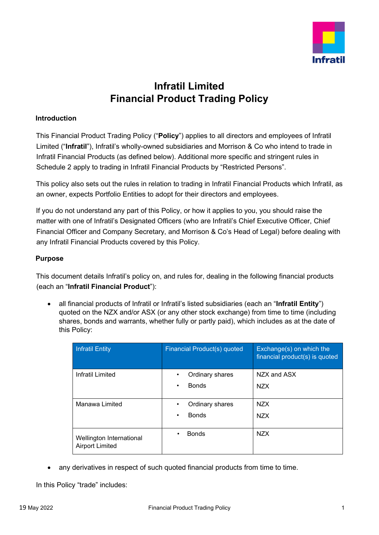

# **Infratil Limited Financial Product Trading Policy**

### **Introduction**

This Financial Product Trading Policy ("**Policy**") applies to all directors and employees of Infratil Limited ("**Infratil**"), Infratil's wholly-owned subsidiaries and Morrison & Co who intend to trade in Infratil Financial Products (as defined below). Additional more specific and stringent rules in Schedule 2 apply to trading in Infratil Financial Products by "Restricted Persons".

This policy also sets out the rules in relation to trading in Infratil Financial Products which Infratil, as an owner, expects Portfolio Entities to adopt for their directors and employees.

If you do not understand any part of this Policy, or how it applies to you, you should raise the matter with one of Infratil's Designated Officers (who are Infratil's Chief Executive Officer, Chief Financial Officer and Company Secretary, and Morrison & Co's Head of Legal) before dealing with any Infratil Financial Products covered by this Policy.

### **Purpose**

This document details Infratil's policy on, and rules for, dealing in the following financial products (each an "**Infratil Financial Product**"):

• all financial products of Infratil or Infratil's listed subsidiaries (each an "**Infratil Entity**") quoted on the NZX and/or ASX (or any other stock exchange) from time to time (including shares, bonds and warrants, whether fully or partly paid), which includes as at the date of this Policy:

| <b>Infratil Entity</b>                             | Financial Product(s) quoted | Exchange(s) on which the<br>financial product(s) is quoted |
|----------------------------------------------------|-----------------------------|------------------------------------------------------------|
| Infratil Limited                                   | Ordinary shares             | NZX and ASX                                                |
|                                                    | <b>Bonds</b><br>٠           | NZX.                                                       |
| Manawa Limited                                     | Ordinary shares             | NZX.                                                       |
|                                                    | <b>Bonds</b><br>$\bullet$   | NZX.                                                       |
| Wellington International<br><b>Airport Limited</b> | <b>Bonds</b><br>$\bullet$   | <b>NZX</b>                                                 |

any derivatives in respect of such quoted financial products from time to time.

In this Policy "trade" includes: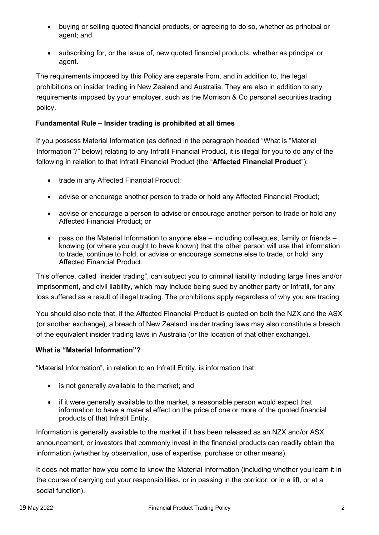- buying or selling quoted financial products, or agreeing to do so, whether as principal or agent; and
- subscribing for, or the issue of, new quoted financial products, whether as principal or agent.

The requirements imposed by this Policy are separate from, and in addition to, the legal prohibitions on insider trading in New Zealand and Australia. They are also in addition to any requirements imposed by your employer, such as the Morrison & Co personal securities trading policy.

## **Fundamental Rule – Insider trading is prohibited at all times**

If you possess Material Information (as defined in the paragraph headed "What is "Material Information"?" below) relating to any Infratil Financial Product, it is illegal for you to do any of the following in relation to that Infratil Financial Product (the "**Affected Financial Product**"):

- trade in any Affected Financial Product;
- advise or encourage another person to trade or hold any Affected Financial Product;
- advise or encourage a person to advise or encourage another person to trade or hold any Affected Financial Product; or
- pass on the Material Information to anyone else including colleagues, family or friends knowing (or where you ought to have known) that the other person will use that information to trade, continue to hold, or advise or encourage someone else to trade, or hold, any Affected Financial Product.

This offence, called "insider trading", can subject you to criminal liability including large fines and/or imprisonment, and civil liability, which may include being sued by another party or Infratil, for any loss suffered as a result of illegal trading. The prohibitions apply regardless of why you are trading.

You should also note that, if the Affected Financial Product is quoted on both the NZX and the ASX (or another exchange), a breach of New Zealand insider trading laws may also constitute a breach of the equivalent insider trading laws in Australia (or the location of that other exchange).

## **What is "Material Information"?**

"Material Information", in relation to an Infratil Entity, is information that:

- is not generally available to the market; and
- if it were generally available to the market, a reasonable person would expect that information to have a material effect on the price of one or more of the quoted financial products of that Infratil Entity.

Information is generally available to the market if it has been released as an NZX and/or ASX announcement, or investors that commonly invest in the financial products can readily obtain the information (whether by observation, use of expertise, purchase or other means).

It does not matter how you come to know the Material Information (including whether you learn it in the course of carrying out your responsibilities, or in passing in the corridor, or in a lift, or at a social function).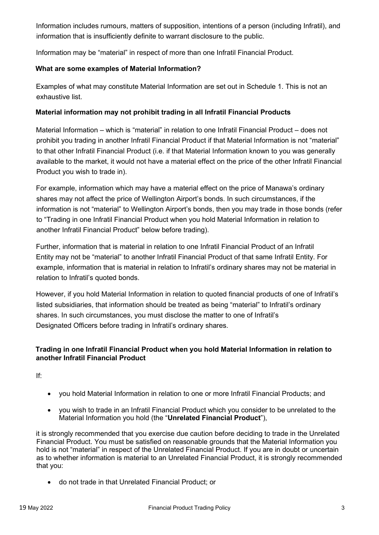Information includes rumours, matters of supposition, intentions of a person (including Infratil), and information that is insufficiently definite to warrant disclosure to the public.

Information may be "material" in respect of more than one Infratil Financial Product.

## **What are some examples of Material Information?**

Examples of what may constitute Material Information are set out in Schedule 1. This is not an exhaustive list.

## **Material information may not prohibit trading in all Infratil Financial Products**

Material Information – which is "material" in relation to one Infratil Financial Product – does not prohibit you trading in another Infratil Financial Product if that Material Information is not "material" to that other Infratil Financial Product (i.e. if that Material Information known to you was generally available to the market, it would not have a material effect on the price of the other Infratil Financial Product you wish to trade in).

For example, information which may have a material effect on the price of Manawa's ordinary shares may not affect the price of Wellington Airport's bonds. In such circumstances, if the information is not "material" to Wellington Airport's bonds, then you may trade in those bonds (refer to "Trading in one Infratil Financial Product when you hold Material Information in relation to another Infratil Financial Product" below before trading).

Further, information that is material in relation to one Infratil Financial Product of an Infratil Entity may not be "material" to another Infratil Financial Product of that same Infratil Entity. For example, information that is material in relation to Infratil's ordinary shares may not be material in relation to Infratil's quoted bonds.

However, if you hold Material Information in relation to quoted financial products of one of Infratil's listed subsidiaries, that information should be treated as being "material" to Infratil's ordinary shares. In such circumstances, you must disclose the matter to one of Infratil's Designated Officers before trading in Infratil's ordinary shares.

## **Trading in one Infratil Financial Product when you hold Material Information in relation to another Infratil Financial Product**

If:

- you hold Material Information in relation to one or more Infratil Financial Products; and
- you wish to trade in an Infratil Financial Product which you consider to be unrelated to the Material Information you hold (the "**Unrelated Financial Product**"),

it is strongly recommended that you exercise due caution before deciding to trade in the Unrelated Financial Product. You must be satisfied on reasonable grounds that the Material Information you hold is not "material" in respect of the Unrelated Financial Product. If you are in doubt or uncertain as to whether information is material to an Unrelated Financial Product, it is strongly recommended that you:

• do not trade in that Unrelated Financial Product; or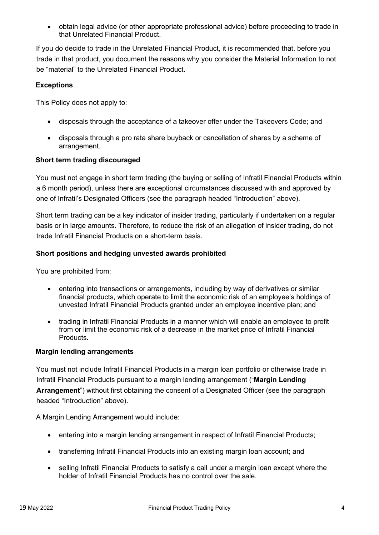• obtain legal advice (or other appropriate professional advice) before proceeding to trade in that Unrelated Financial Product.

If you do decide to trade in the Unrelated Financial Product, it is recommended that, before you trade in that product, you document the reasons why you consider the Material Information to not be "material" to the Unrelated Financial Product.

## **Exceptions**

This Policy does not apply to:

- disposals through the acceptance of a takeover offer under the Takeovers Code; and
- disposals through a pro rata share buyback or cancellation of shares by a scheme of arrangement.

#### **Short term trading discouraged**

You must not engage in short term trading (the buying or selling of Infratil Financial Products within a 6 month period), unless there are exceptional circumstances discussed with and approved by one of Infratil's Designated Officers (see the paragraph headed "Introduction" above).

Short term trading can be a key indicator of insider trading, particularly if undertaken on a regular basis or in large amounts. Therefore, to reduce the risk of an allegation of insider trading, do not trade Infratil Financial Products on a short-term basis.

#### **Short positions and hedging unvested awards prohibited**

You are prohibited from:

- entering into transactions or arrangements, including by way of derivatives or similar financial products, which operate to limit the economic risk of an employee's holdings of unvested Infratil Financial Products granted under an employee incentive plan; and
- trading in Infratil Financial Products in a manner which will enable an employee to profit from or limit the economic risk of a decrease in the market price of Infratil Financial Products.

#### **Margin lending arrangements**

You must not include Infratil Financial Products in a margin loan portfolio or otherwise trade in Infratil Financial Products pursuant to a margin lending arrangement ("**Margin Lending Arrangement**") without first obtaining the consent of a Designated Officer (see the paragraph headed "Introduction" above).

A Margin Lending Arrangement would include:

- entering into a margin lending arrangement in respect of Infratil Financial Products;
- transferring Infratil Financial Products into an existing margin loan account; and
- selling Infratil Financial Products to satisfy a call under a margin loan except where the holder of Infratil Financial Products has no control over the sale.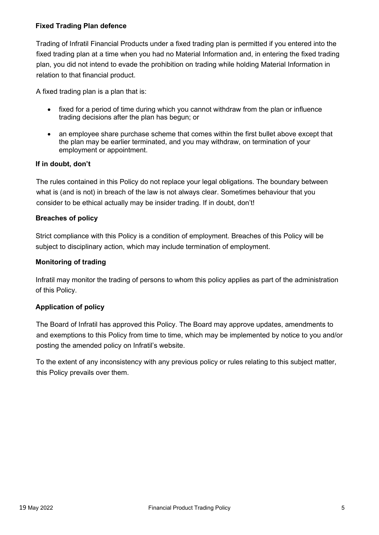#### **Fixed Trading Plan defence**

Trading of Infratil Financial Products under a fixed trading plan is permitted if you entered into the fixed trading plan at a time when you had no Material Information and, in entering the fixed trading plan, you did not intend to evade the prohibition on trading while holding Material Information in relation to that financial product.

A fixed trading plan is a plan that is:

- fixed for a period of time during which you cannot withdraw from the plan or influence trading decisions after the plan has begun; or
- an employee share purchase scheme that comes within the first bullet above except that the plan may be earlier terminated, and you may withdraw, on termination of your employment or appointment.

### **If in doubt, don't**

The rules contained in this Policy do not replace your legal obligations. The boundary between what is (and is not) in breach of the law is not always clear. Sometimes behaviour that you consider to be ethical actually may be insider trading. If in doubt, don't!

#### **Breaches of policy**

Strict compliance with this Policy is a condition of employment. Breaches of this Policy will be subject to disciplinary action, which may include termination of employment.

#### **Monitoring of trading**

Infratil may monitor the trading of persons to whom this policy applies as part of the administration of this Policy.

#### **Application of policy**

The Board of Infratil has approved this Policy. The Board may approve updates, amendments to and exemptions to this Policy from time to time, which may be implemented by notice to you and/or posting the amended policy on Infratil's website.

To the extent of any inconsistency with any previous policy or rules relating to this subject matter, this Policy prevails over them.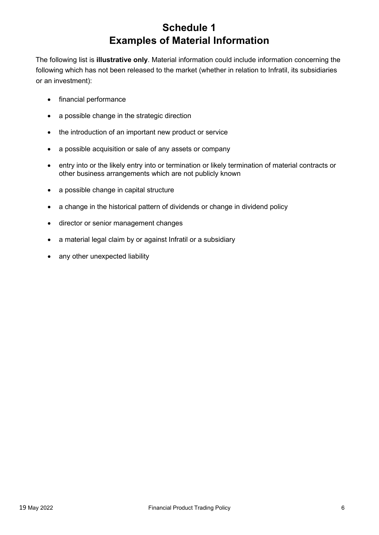# **Schedule 1 Examples of Material Information**

The following list is **illustrative only**. Material information could include information concerning the following which has not been released to the market (whether in relation to Infratil, its subsidiaries or an investment):

- financial performance
- a possible change in the strategic direction
- the introduction of an important new product or service
- a possible acquisition or sale of any assets or company
- entry into or the likely entry into or termination or likely termination of material contracts or other business arrangements which are not publicly known
- a possible change in capital structure
- a change in the historical pattern of dividends or change in dividend policy
- director or senior management changes
- a material legal claim by or against Infratil or a subsidiary
- any other unexpected liability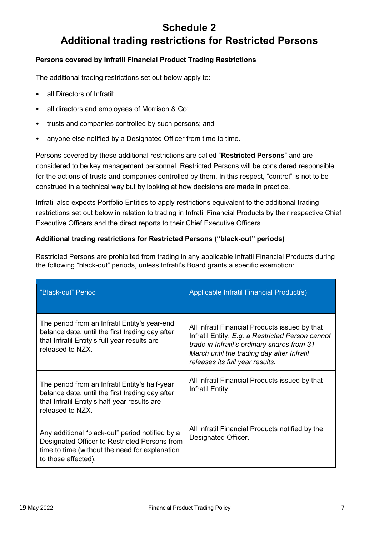## **Schedule 2 Additional trading restrictions for Restricted Persons**

## **Persons covered by Infratil Financial Product Trading Restrictions**

The additional trading restrictions set out below apply to:

- all Directors of Infratil;
- all directors and employees of Morrison & Co;
- trusts and companies controlled by such persons; and
- anyone else notified by a Designated Officer from time to time.

Persons covered by these additional restrictions are called "**Restricted Persons**" and are considered to be key management personnel. Restricted Persons will be considered responsible for the actions of trusts and companies controlled by them. In this respect, "control" is not to be construed in a technical way but by looking at how decisions are made in practice.

Infratil also expects Portfolio Entities to apply restrictions equivalent to the additional trading restrictions set out below in relation to trading in Infratil Financial Products by their respective Chief Executive Officers and the direct reports to their Chief Executive Officers.

### **Additional trading restrictions for Restricted Persons ("black-out" periods)**

Restricted Persons are prohibited from trading in any applicable Infratil Financial Products during the following "black-out" periods, unless Infratil's Board grants a specific exemption:

| "Black-out" Period                                                                                                                                                        | Applicable Infratil Financial Product(s)                                                                                                                                                                                           |
|---------------------------------------------------------------------------------------------------------------------------------------------------------------------------|------------------------------------------------------------------------------------------------------------------------------------------------------------------------------------------------------------------------------------|
| The period from an Infratil Entity's year-end<br>balance date, until the first trading day after<br>that Infratil Entity's full-year results are<br>released to NZX.      | All Infratil Financial Products issued by that<br>Infratil Entity. E.g. a Restricted Person cannot<br>trade in Infratil's ordinary shares from 31<br>March until the trading day after Infratil<br>releases its full year results. |
| The period from an Infratil Entity's half-year<br>balance date, until the first trading day after<br>that Infratil Entity's half-year results are<br>released to NZX.     | All Infratil Financial Products issued by that<br>Infratil Entity.                                                                                                                                                                 |
| Any additional "black-out" period notified by a<br>Designated Officer to Restricted Persons from<br>time to time (without the need for explanation<br>to those affected). | All Infratil Financial Products notified by the<br>Designated Officer.                                                                                                                                                             |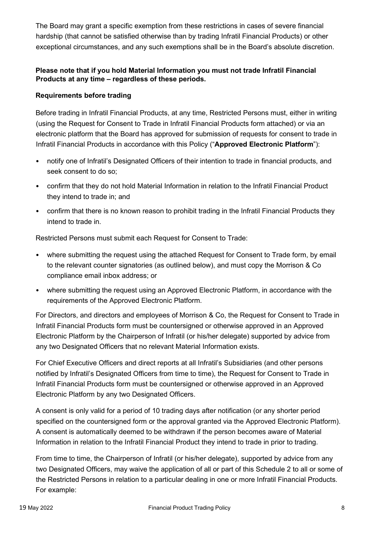The Board may grant a specific exemption from these restrictions in cases of severe financial hardship (that cannot be satisfied otherwise than by trading Infratil Financial Products) or other exceptional circumstances, and any such exemptions shall be in the Board's absolute discretion.

## **Please note that if you hold Material Information you must not trade Infratil Financial Products at any time – regardless of these periods.**

## **Requirements before trading**

Before trading in Infratil Financial Products, at any time, Restricted Persons must, either in writing (using the Request for Consent to Trade in Infratil Financial Products form attached) or via an electronic platform that the Board has approved for submission of requests for consent to trade in Infratil Financial Products in accordance with this Policy ("**Approved Electronic Platform**"):

- notify one of Infratil's Designated Officers of their intention to trade in financial products, and seek consent to do so;
- confirm that they do not hold Material Information in relation to the Infratil Financial Product they intend to trade in; and
- confirm that there is no known reason to prohibit trading in the Infratil Financial Products they intend to trade in.

Restricted Persons must submit each Request for Consent to Trade:

- where submitting the request using the attached Request for Consent to Trade form, by email to the relevant counter signatories (as outlined below), and must copy the Morrison & Co compliance email inbox address; or
- where submitting the request using an Approved Electronic Platform, in accordance with the requirements of the Approved Electronic Platform.

For Directors, and directors and employees of Morrison & Co, the Request for Consent to Trade in Infratil Financial Products form must be countersigned or otherwise approved in an Approved Electronic Platform by the Chairperson of Infratil (or his/her delegate) supported by advice from any two Designated Officers that no relevant Material Information exists.

For Chief Executive Officers and direct reports at all Infratil's Subsidiaries (and other persons notified by Infratil's Designated Officers from time to time), the Request for Consent to Trade in Infratil Financial Products form must be countersigned or otherwise approved in an Approved Electronic Platform by any two Designated Officers.

A consent is only valid for a period of 10 trading days after notification (or any shorter period specified on the countersigned form or the approval granted via the Approved Electronic Platform). A consent is automatically deemed to be withdrawn if the person becomes aware of Material Information in relation to the Infratil Financial Product they intend to trade in prior to trading.

From time to time, the Chairperson of Infratil (or his/her delegate), supported by advice from any two Designated Officers, may waive the application of all or part of this Schedule 2 to all or some of the Restricted Persons in relation to a particular dealing in one or more Infratil Financial Products. For example: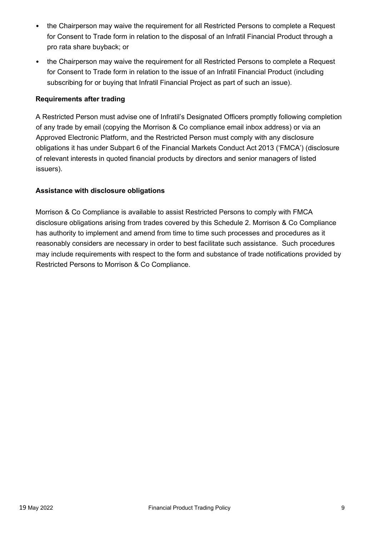- the Chairperson may waive the requirement for all Restricted Persons to complete a Request for Consent to Trade form in relation to the disposal of an Infratil Financial Product through a pro rata share buyback; or
- the Chairperson may waive the requirement for all Restricted Persons to complete a Request for Consent to Trade form in relation to the issue of an Infratil Financial Product (including subscribing for or buying that Infratil Financial Project as part of such an issue).

## **Requirements after trading**

A Restricted Person must advise one of Infratil's Designated Officers promptly following completion of any trade by email (copying the Morrison & Co compliance email inbox address) or via an Approved Electronic Platform, and the Restricted Person must comply with any disclosure obligations it has under Subpart 6 of the Financial Markets Conduct Act 2013 ('FMCA') (disclosure of relevant interests in quoted financial products by directors and senior managers of listed issuers).

#### **Assistance with disclosure obligations**

Morrison & Co Compliance is available to assist Restricted Persons to comply with FMCA disclosure obligations arising from trades covered by this Schedule 2. Morrison & Co Compliance has authority to implement and amend from time to time such processes and procedures as it reasonably considers are necessary in order to best facilitate such assistance. Such procedures may include requirements with respect to the form and substance of trade notifications provided by Restricted Persons to Morrison & Co Compliance.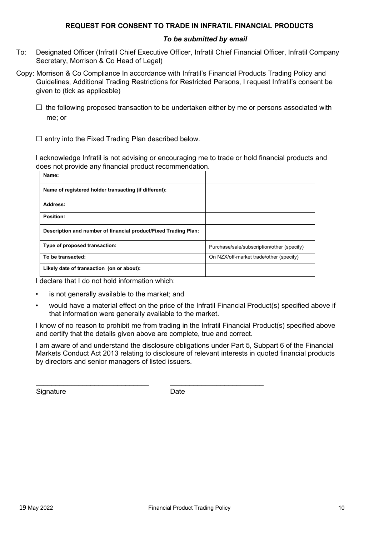#### **REQUEST FOR CONSENT TO TRADE IN INFRATIL FINANCIAL PRODUCTS**

#### *To be submitted by email*

- To: Designated Officer (Infratil Chief Executive Officer, Infratil Chief Financial Officer, Infratil Company Secretary, Morrison & Co Head of Legal)
- Copy: Morrison & Co Compliance In accordance with Infratil's Financial Products Trading Policy and Guidelines, Additional Trading Restrictions for Restricted Persons, I request Infratil's consent be given to (tick as applicable)
	- $\square$  the following proposed transaction to be undertaken either by me or persons associated with me; or

 $\square$  entry into the Fixed Trading Plan described below.

I acknowledge Infratil is not advising or encouraging me to trade or hold financial products and does not provide any financial product recommendation.

| Name:                                                           |                                            |
|-----------------------------------------------------------------|--------------------------------------------|
| Name of registered holder transacting (if different):           |                                            |
| Address:                                                        |                                            |
| Position:                                                       |                                            |
| Description and number of financial product/Fixed Trading Plan: |                                            |
| Type of proposed transaction:                                   | Purchase/sale/subscription/other (specify) |
| To be transacted:                                               | On NZX/off-market trade/other (specify)    |
| Likely date of transaction (on or about):                       |                                            |

I declare that I do not hold information which:

- is not generally available to the market; and
- would have a material effect on the price of the Infratil Financial Product(s) specified above if that information were generally available to the market.

I know of no reason to prohibit me from trading in the Infratil Financial Product(s) specified above and certify that the details given above are complete, true and correct.

I am aware of and understand the disclosure obligations under Part 5, Subpart 6 of the Financial Markets Conduct Act 2013 relating to disclosure of relevant interests in quoted financial products by directors and senior managers of listed issuers.

Signature Date

\_\_\_\_\_\_\_\_\_\_\_\_\_\_\_\_\_\_\_\_\_\_\_\_\_\_\_\_\_ \_\_\_\_\_\_\_\_\_\_\_\_\_\_\_\_\_\_\_\_\_\_\_\_